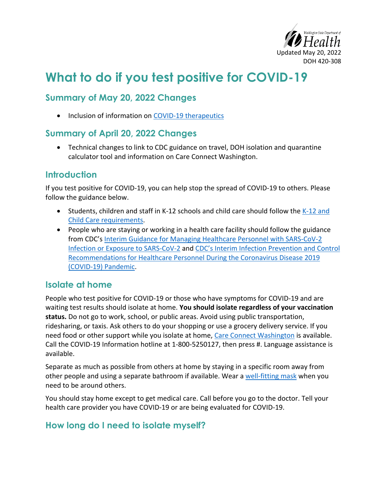

# **What to do if you test positive for COVID-19**

## **Summary of May 20, 2022 Changes**

• Inclusion of information on [COVID-19 therapeutics](#page-3-0)

## **Summary of April 20, 2022 Changes**

• Technical changes to link to CDC guidance on travel, DOH isolation and quarantine calculator tool and information on Care Connect Washington.

## **Introduction**

If you test positive for COVID-19, you can help stop the spread of COVID-19 to others. Please follow the guidance below.

- Students, children and staff in K-12 schools and child care should follow the  $K-12$  and [Child Care requirements.](https://doh.wa.gov/sites/default/files/2022-03/821-165-K12SchoolsChildCare.pdf)
- People who are staying or working in a health care facility should follow the guidance from CDC's [Interim Guidance for Managing Healthcare Personnel with SARS-CoV-2](https://www.cdc.gov/coronavirus/2019-ncov/hcp/guidance-risk-assesment-hcp.html)  [Infection or Exposure to SARS-CoV-2](https://www.cdc.gov/coronavirus/2019-ncov/hcp/guidance-risk-assesment-hcp.html) and [CDC's Interim Infection Prevention and Control](https://www.cdc.gov/coronavirus/2019-ncov/hcp/infection-control-recommendations.html)  [Recommendations for Healthcare Personnel During the Coronavirus Disease 2019](https://www.cdc.gov/coronavirus/2019-ncov/hcp/infection-control-recommendations.html)  [\(COVID-19\) Pandemic.](https://www.cdc.gov/coronavirus/2019-ncov/hcp/infection-control-recommendations.html)

## **Isolate at home**

People who test positive for COVID-19 or those who have symptoms for COVID-19 and are waiting test results should isolate at home. **You should isolate regardless of your vaccination status.** Do not go to work, school, or public areas. Avoid using public transportation, ridesharing, or taxis. Ask others to do your shopping or use a grocery delivery service. If you need food or other support while you isolate at home, [Care Connect Washington](https://doh.wa.gov/emergencies/covid-19/care-connect-washington) is available. Call the COVID-19 Information hotline at 1-800-5250127, then press #. Language assistance is available.

Separate as much as possible from others at home by staying in a specific room away from other people and using a separate bathroom if available. Wear a [well-fitting mask](https://www.cdc.gov/coronavirus/2019-ncov/prevent-getting-sick/about-face-coverings.html) when you need to be around others.

You should stay home except to get medical care. Call before you go to the doctor. Tell your health care provider you have COVID-19 or are being evaluated for COVID-19.

## **How long do I need to isolate myself?**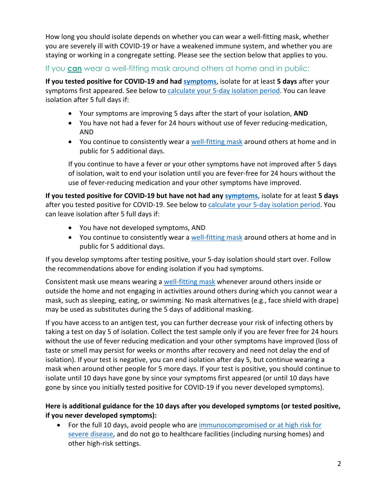How long you should isolate depends on whether you can wear a well-fitting mask, whether you are severely ill with COVID-19 or have a weakened immune system, and whether you are staying or working in a congregate setting. Please see the section below that applies to you.

#### If you **can** wear a well-fitting mask around others at home and in public:

**If you tested positive for COVID-19 and had [symptoms](https://www.cdc.gov/coronavirus/2019-ncov/symptoms-testing/symptoms.html)**, isolate for at least **5 days** after your symptoms first appeared. See below to [calculate your 5-day isolation period.](#page-3-0) You can leave isolation after 5 full days if:

- Your symptoms are improving 5 days after the start of your isolation, **AND**
- You have not had a fever for 24 hours without use of fever reducing-medication, AND
- You continue to consistently wear [a well-fitting mask](https://www.cdc.gov/coronavirus/2019-ncov/prevent-getting-sick/about-face-coverings.html) around others at home and in public for 5 additional days.

If you continue to have a fever or your other symptoms have not improved after 5 days of isolation, wait to end your isolation until you are fever-free for 24 hours without the use of fever-reducing medication and your other symptoms have improved.

**If you tested positive for COVID-19 but have not had any [symptoms](https://www.cdc.gov/coronavirus/2019-ncov/symptoms-testing/symptoms.html)**, isolate for at least **5 days** after you tested positive for COVID-19. See below to [calculate your 5-day isolation period.](#page-3-0) You can leave isolation after 5 full days if:

- You have not developed symptoms, AND
- You continue to consistently wear [a well-fitting mask](https://www.cdc.gov/coronavirus/2019-ncov/prevent-getting-sick/about-face-coverings.html) around others at home and in public for 5 additional days.

If you develop symptoms after testing positive, your 5-day isolation should start over. Follow the recommendations above for ending isolation if you had symptoms.

Consistent mask use means wearing a [well-fitting mask](https://www.cdc.gov/coronavirus/2019-ncov/prevent-getting-sick/about-face-coverings.html) whenever around others inside or outside the home and not engaging in activities around others during which you cannot wear a mask, such as sleeping, eating, or swimming. No mask alternatives (e.g., face shield with drape) may be used as substitutes during the 5 days of additional masking.

If you have access to an antigen test, you can further decrease your risk of infecting others by taking a test on day 5 of isolation. Collect the test sample only if you are fever free for 24 hours without the use of fever reducing medication and your other symptoms have improved (loss of taste or smell may persist for weeks or months after recovery and need not delay the end of isolation). If your test is negative, you can end isolation after day 5, but continue wearing a mask when around other people for 5 more days. If your test is positive, you should continue to isolate until 10 days have gone by since your symptoms first appeared (or until 10 days have gone by since you initially tested positive for COVID-19 if you never developed symptoms).

#### **Here is additional guidance for the 10 days after you developed symptoms (or tested positive, if you never developed symptoms):**

• For the full 10 days, avoid people who are immunocompromised or at high risk for [severe disease,](https://www.cdc.gov/coronavirus/2019-ncov/need-extra-precautions/people-with-medical-conditions.html) and do not go to healthcare facilities (including nursing homes) and other high-risk settings.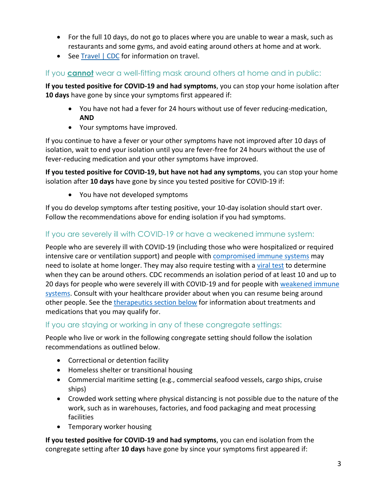- For the full 10 days, do not go to places where you are unable to wear a mask, such as restaurants and some gyms, and avoid eating around others at home and at work.
- See [Travel | CDC](https://www.cdc.gov/coronavirus/2019-ncov/travelers/index.html#do-not-travel) for information on travel.

#### If you **cannot** wear a well-fitting mask around others at home and in public:

**If you tested positive for COVID-19 and had symptoms**, you can stop your home isolation after **10 days** have gone by since your symptoms first appeared if:

- You have not had a fever for 24 hours without use of fever reducing-medication, **AND**
- Your symptoms have improved.

If you continue to have a fever or your other symptoms have not improved after 10 days of isolation, wait to end your isolation until you are fever-free for 24 hours without the use of fever-reducing medication and your other symptoms have improved.

**If you tested positive for COVID-19, but have not had any symptoms**, you can stop your home isolation after **10 days** have gone by since you tested positive for COVID-19 if:

• You have not developed symptoms

If you do develop symptoms after testing positive, your 10-day isolation should start over. Follow the recommendations above for ending isolation if you had symptoms.

#### If you are severely ill with COVID-19 or have a weakened immune system:

People who are severely ill with COVID-19 (including those who were hospitalized or required intensive care or ventilation support) and people with [compromised immune systems](https://www.cdc.gov/coronavirus/2019-ncov/need-extra-precautions/people-with-medical-conditions.html) may need to isolate at home longer. They may also require testing with a [viral test](https://www.cdc.gov/coronavirus/2019-ncov/testing/diagnostic-testing.html) to determine when they can be around others. CDC recommends an isolation period of at least 10 and up to 20 days for people who were severely ill with COVID-19 and for people with [weakened immune](https://www.cdc.gov/coronavirus/2019-ncov/need-extra-precautions/people-with-medical-conditions.html)  [systems.](https://www.cdc.gov/coronavirus/2019-ncov/need-extra-precautions/people-with-medical-conditions.html) Consult with your healthcare provider about when you can resume being around other people. See the [therapeutics section below](#page-3-0) for information about treatments and medications that you may qualify for.

#### If you are staying or working in any of these congregate settings:

People who live or work in the following congregate setting should follow the isolation recommendations as outlined below.

- Correctional or detention facility
- Homeless shelter or transitional housing
- Commercial maritime setting (e.g., commercial seafood vessels, cargo ships, cruise ships)
- Crowded work setting where physical distancing is not possible due to the nature of the work, such as in warehouses, factories, and food packaging and meat processing facilities
- Temporary worker housing

**If you tested positive for COVID-19 and had symptoms**, you can end isolation from the congregate setting after **10 days** have gone by since your symptoms first appeared if: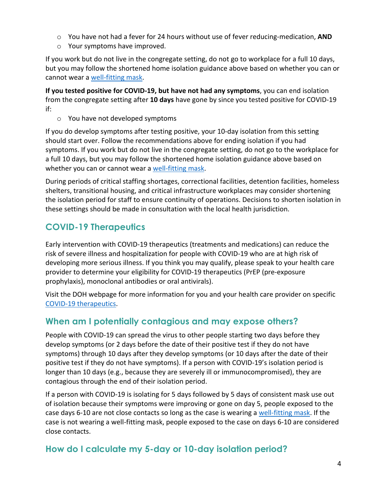- o You have not had a fever for 24 hours without use of fever reducing-medication, **AND**
- o Your symptoms have improved.

If you work but do not live in the congregate setting, do not go to workplace for a full 10 days, but you may follow the shortened home isolation guidance above based on whether you can or cannot wear a [well-fitting mask.](https://www.cdc.gov/coronavirus/2019-ncov/prevent-getting-sick/about-face-coverings.html)

**If you tested positive for COVID-19, but have not had any symptoms**, you can end isolation from the congregate setting after **10 days** have gone by since you tested positive for COVID-19 if:

o You have not developed symptoms

If you do develop symptoms after testing positive, your 10-day isolation from this setting should start over. Follow the recommendations above for ending isolation if you had symptoms. If you work but do not live in the congregate setting, do not go to the workplace for a full 10 days, but you may follow the shortened home isolation guidance above based on whether you can or cannot wear a [well-fitting mask.](https://www.cdc.gov/coronavirus/2019-ncov/prevent-getting-sick/about-face-coverings.html)

During periods of critical staffing shortages, correctional facilities, detention facilities, homeless shelters, transitional housing, and critical infrastructure workplaces may consider shortening the isolation period for staff to ensure continuity of operations. Decisions to shorten isolation in these settings should be made in consultation with the local health jurisdiction.

# <span id="page-3-0"></span>**COVID-19 Therapeutics**

Early intervention with COVID-19 therapeutics (treatments and medications) can reduce the risk of severe illness and hospitalization for people with COVID-19 who are at high risk of developing more serious illness. If you think you may qualify, please speak to your health care provider to determine your eligibility for COVID-19 therapeutics (PrEP (pre-exposure prophylaxis), monoclonal antibodies or oral antivirals).

Visit the DOH webpage for more information for you and your health care provider on specific [COVID-19 therapeutics.](https://doh.wa.gov/emergencies/covid-19/therapeutics)

## **When am I potentially contagious and may expose others?**

People with COVID-19 can spread the virus to other people starting two days before they develop symptoms (or 2 days before the date of their positive test if they do not have symptoms) through 10 days after they develop symptoms (or 10 days after the date of their positive test if they do not have symptoms). If a person with COVID-19's isolation period is longer than 10 days (e.g., because they are severely ill or immunocompromised), they are contagious through the end of their isolation period.

If a person with COVID-19 is isolating for 5 days followed by 5 days of consistent mask use out of isolation because their symptoms were improving or gone on day 5, people exposed to the case days 6-10 are not close contacts so long as the case is wearing a [well-fitting mask.](https://www.cdc.gov/coronavirus/2019-ncov/your-health/effective-masks.html) If the case is not wearing a well-fitting mask, people exposed to the case on days 6-10 are considered close contacts.

## **How do I calculate my 5-day or 10-day isolation period?**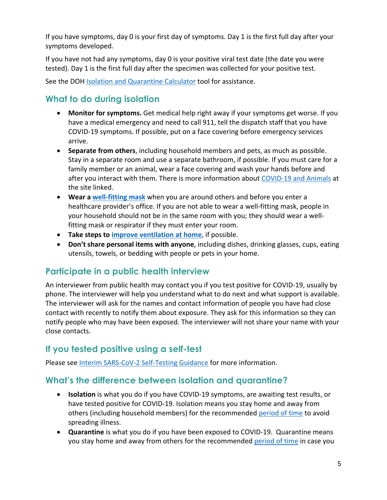If you have symptoms, day 0 is your first day of symptoms. Day 1 is the first full day after your symptoms developed.

If you have not had any symptoms, day 0 is your positive viral test date (the date you were tested). Day 1 is the first full day after the specimen was collected for your positive test.

See the DOH [Isolation and Quarantine Calculator](https://doh.wa.gov/emergencies/covid-19/isolation-and-quarantine-covid-19/isolation-and-quarantine-calculator) tool for assistance.

# **What to do during isolation**

- **Monitor for symptoms.** Get medical help right away if your symptoms get worse. If you have a medical emergency and need to call 911, tell the dispatch staff that you have COVID-19 symptoms. If possible, put on a face covering before emergency services arrive.
- **Separate from others**, including household members and pets, as much as possible. Stay in a separate room and use a separate bathroom, if possible. If you must care for a family member or an animal, wear a face covering and wash your hands before and after you interact with them. There is more information about [COVID-19 and Animals](https://www.cdc.gov/coronavirus/2019-ncov/daily-life-coping/animals.html) at the site linked.
- **Wear a [well-fitting mask](https://www.cdc.gov/coronavirus/2019-ncov/prevent-getting-sick/about-face-coverings.html)** when you are around others and before you enter a healthcare provider's office. If you are not able to wear a well-fitting mask, people in your household should not be in the same room with you; they should wear a wellfitting mask or respirator if they must enter your room.
- **Take steps to [improve ventilation at home](https://www.cdc.gov/coronavirus/2019-ncov/prevent-getting-sick/Improving-Ventilation-Home.html#:~:text=However%2C%20if%20a%20visitor%20needs,getting%20and%20spreading%20COVID%2D19.)**, if possible.
- **Don't share personal items with anyone**, including dishes, drinking glasses, cups, eating utensils, towels, or bedding with people or pets in your home.

## **Participate in a public health interview**

An interviewer from public health may contact you if you test positive for COVID-19, usually by phone. The interviewer will help you understand what to do next and what support is available. The interviewer will ask for the names and contact information of people you have had close contact with recently to notify them about exposure. They ask for this information so they can notify people who may have been exposed. The interviewer will not share your name with your close contacts.

## **If you tested positive using a self-test**

Please see [Interim SARS-CoV-2 Self-Testing Guidance](https://www.doh.wa.gov/Portals/1/Documents/1600/coronavirus/420-360-SARSCoV2SelfTesting.pdf) for more information.

## **What's the difference between isolation and quarantine?**

- **Isolation** is what you do if you have COVID-19 symptoms, are awaiting test results, or have tested positive for COVID-19. Isolation means you stay home and away from others (including household members) for the recommended [period of time](https://www.doh.wa.gov/Emergencies/COVID19/CaseInvestigationsandContactTracing/IsolationandQuarantineforCOVID19) to avoid spreading illness.
- **Quarantine** is what you do if you have been exposed to COVID-19. Quarantine means you stay home and away from others for the recommended [period of time](https://www.doh.wa.gov/Emergencies/COVID19/CaseInvestigationsandContactTracing/IsolationandQuarantineforCOVID19) in case you